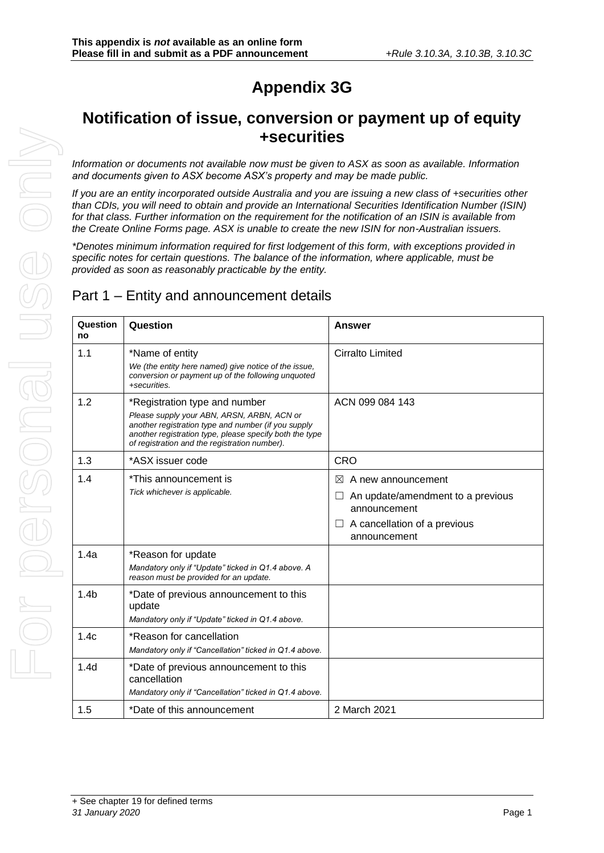## **Appendix 3G**

## **Notification of issue, conversion or payment up of equity +securities**

*Information or documents not available now must be given to ASX as soon as available. Information and documents given to ASX become ASX's property and may be made public.*

*If you are an entity incorporated outside Australia and you are issuing a new class of +securities other than CDIs, you will need to obtain and provide an International Securities Identification Number (ISIN) for that class. Further information on the requirement for the notification of an ISIN is available from the Create Online Forms page. ASX is unable to create the new ISIN for non-Australian issuers.*

*\*Denotes minimum information required for first lodgement of this form, with exceptions provided in specific notes for certain questions. The balance of the information, where applicable, must be provided as soon as reasonably practicable by the entity.*

### Part 1 – Entity and announcement details

| Question<br>no   | Question                                                                                                                                                                                                                                       | <b>Answer</b>                                                                                                                             |
|------------------|------------------------------------------------------------------------------------------------------------------------------------------------------------------------------------------------------------------------------------------------|-------------------------------------------------------------------------------------------------------------------------------------------|
| 1.1              | *Name of entity<br>We (the entity here named) give notice of the issue,<br>conversion or payment up of the following unquoted<br>+securities.                                                                                                  | <b>Cirralto Limited</b>                                                                                                                   |
| 1.2              | *Registration type and number<br>Please supply your ABN, ARSN, ARBN, ACN or<br>another registration type and number (if you supply<br>another registration type, please specify both the type<br>of registration and the registration number). | ACN 099 084 143                                                                                                                           |
| 1.3              | *ASX issuer code                                                                                                                                                                                                                               | <b>CRO</b>                                                                                                                                |
| 1.4              | *This announcement is<br>Tick whichever is applicable.                                                                                                                                                                                         | $\bowtie$<br>A new announcement<br>An update/amendment to a previous<br>announcement<br>A cancellation of a previous<br>ப<br>announcement |
| 1.4a             | *Reason for update<br>Mandatory only if "Update" ticked in Q1.4 above. A<br>reason must be provided for an update.                                                                                                                             |                                                                                                                                           |
| 1.4 <sub>b</sub> | *Date of previous announcement to this<br>update<br>Mandatory only if "Update" ticked in Q1.4 above.                                                                                                                                           |                                                                                                                                           |
| 1.4c             | *Reason for cancellation<br>Mandatory only if "Cancellation" ticked in Q1.4 above.                                                                                                                                                             |                                                                                                                                           |
| 1.4 <sub>d</sub> | *Date of previous announcement to this<br>cancellation<br>Mandatory only if "Cancellation" ticked in Q1.4 above.                                                                                                                               |                                                                                                                                           |
| 1.5              | *Date of this announcement                                                                                                                                                                                                                     | 2 March 2021                                                                                                                              |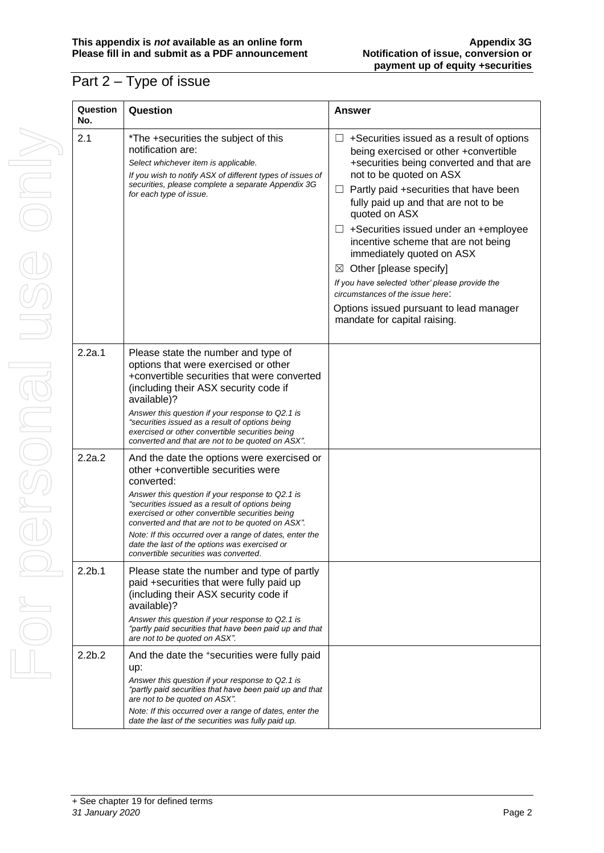### Part 2 – Type of issue

| Question<br>No.    | Questi                                                                                                                |
|--------------------|-----------------------------------------------------------------------------------------------------------------------|
| 2.1                | $*$ The +<br>notifica<br>Select w<br>If you wi<br>securitie<br>for each                                               |
|                    |                                                                                                                       |
| 2.2a.1             | Please<br>options<br>+conve<br>(includi<br>availab<br>Answer<br>"securitie<br>exercise<br>converte                    |
| 2.2a.2             | And the<br>other +<br>conver<br>Answer i<br>"securitie<br>exercise<br>converte<br>Note: If t<br>date the<br>convertil |
| 2.2 <sub>b.1</sub> | Please<br>paid +s<br>(includi<br>availab<br>Answer<br>"partly pa<br>are not t                                         |
| 2.2 <sub>b.2</sub> | And the<br>up:<br>Answer                                                                                              |

| Question<br>No.    | Question                                                                                                                                                                                                                                                                                                             | Answer                                                                                                                                                                                                                                                                                                                                                                                                                                                                                                                                                                                             |
|--------------------|----------------------------------------------------------------------------------------------------------------------------------------------------------------------------------------------------------------------------------------------------------------------------------------------------------------------|----------------------------------------------------------------------------------------------------------------------------------------------------------------------------------------------------------------------------------------------------------------------------------------------------------------------------------------------------------------------------------------------------------------------------------------------------------------------------------------------------------------------------------------------------------------------------------------------------|
| 2.1                | *The +securities the subject of this<br>notification are:<br>Select whichever item is applicable.<br>If you wish to notify ASX of different types of issues of<br>securities, please complete a separate Appendix 3G<br>for each type of issue.                                                                      | +Securities issued as a result of options<br>being exercised or other +convertible<br>+securities being converted and that are<br>not to be quoted on ASX<br>Partly paid +securities that have been<br>$\Box$<br>fully paid up and that are not to be<br>quoted on ASX<br>$\Box$ +Securities issued under an +employee<br>incentive scheme that are not being<br>immediately quoted on ASX<br>$\boxtimes$ Other [please specify]<br>If you have selected 'other' please provide the<br>circumstances of the issue here:<br>Options issued pursuant to lead manager<br>mandate for capital raising. |
| 2.2a.1             | Please state the number and type of<br>options that were exercised or other<br>+convertible securities that were converted<br>(including their ASX security code if<br>available)?<br>Answer this question if your response to Q2.1 is<br>"securities issued as a result of options being                            |                                                                                                                                                                                                                                                                                                                                                                                                                                                                                                                                                                                                    |
|                    | exercised or other convertible securities being<br>converted and that are not to be quoted on ASX".                                                                                                                                                                                                                  |                                                                                                                                                                                                                                                                                                                                                                                                                                                                                                                                                                                                    |
| 2.2a.2             | And the date the options were exercised or<br>other +convertible securities were<br>converted:<br>Answer this question if your response to Q2.1 is<br>"securities issued as a result of options being<br>exercised or other convertible securities being<br>converted and that are not to be quoted on ASX".         |                                                                                                                                                                                                                                                                                                                                                                                                                                                                                                                                                                                                    |
|                    | Note: If this occurred over a range of dates, enter the<br>date the last of the options was exercised or<br>convertible securities was converted.                                                                                                                                                                    |                                                                                                                                                                                                                                                                                                                                                                                                                                                                                                                                                                                                    |
| 2.2 <sub>b.1</sub> | Please state the number and type of partly<br>paid +securities that were fully paid up<br>(including their ASX security code if<br>available)?<br>Answer this question if your response to Q2.1 is<br>"partly paid securities that have been paid up and that<br>are not to be quoted on ASX".                       |                                                                                                                                                                                                                                                                                                                                                                                                                                                                                                                                                                                                    |
| 2.2 <sub>b.2</sub> | And the date the +securities were fully paid<br>up:<br>Answer this question if your response to Q2.1 is<br>"partly paid securities that have been paid up and that<br>are not to be quoted on ASX".<br>Note: If this occurred over a range of dates, enter the<br>date the last of the securities was fully paid up. |                                                                                                                                                                                                                                                                                                                                                                                                                                                                                                                                                                                                    |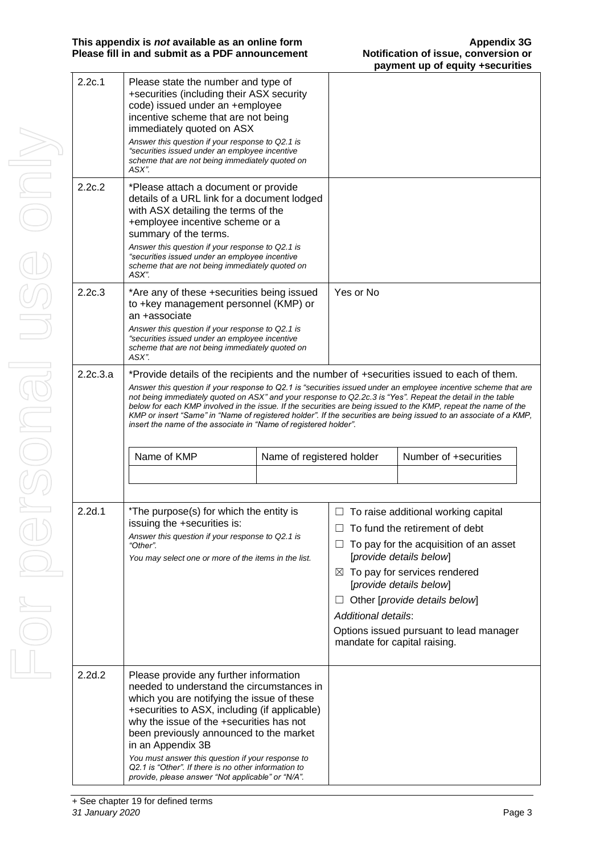| 2.2c.1   | Please state the number and type of<br>+securities (including their ASX security<br>code) issued under an +employee<br>incentive scheme that are not being<br>immediately quoted on ASX<br>Answer this question if your response to Q2.1 is<br>"securities issued under an employee incentive<br>scheme that are not being immediately quoted on<br>ASX".                                                                                                                                                                                                                                                                             |                           |                                                          |                                                                                                                                                                                                                                                                                          |
|----------|---------------------------------------------------------------------------------------------------------------------------------------------------------------------------------------------------------------------------------------------------------------------------------------------------------------------------------------------------------------------------------------------------------------------------------------------------------------------------------------------------------------------------------------------------------------------------------------------------------------------------------------|---------------------------|----------------------------------------------------------|------------------------------------------------------------------------------------------------------------------------------------------------------------------------------------------------------------------------------------------------------------------------------------------|
| 2.2c.2   | *Please attach a document or provide<br>details of a URL link for a document lodged<br>with ASX detailing the terms of the<br>+employee incentive scheme or a<br>summary of the terms.<br>Answer this question if your response to Q2.1 is<br>"securities issued under an employee incentive<br>scheme that are not being immediately quoted on<br>ASX".                                                                                                                                                                                                                                                                              |                           |                                                          |                                                                                                                                                                                                                                                                                          |
| 2.2c.3   | *Are any of these +securities being issued<br>to +key management personnel (KMP) or<br>an +associate<br>Answer this question if your response to Q2.1 is<br>"securities issued under an employee incentive<br>scheme that are not being immediately quoted on<br>ASX".                                                                                                                                                                                                                                                                                                                                                                |                           | Yes or No                                                |                                                                                                                                                                                                                                                                                          |
| 2.2c.3.a | *Provide details of the recipients and the number of +securities issued to each of them.<br>Answer this question if your response to Q2.1 is "securities issued under an employee incentive scheme that are<br>not being immediately quoted on ASX" and your response to Q2.2c.3 is "Yes". Repeat the detail in the table<br>below for each KMP involved in the issue. If the securities are being issued to the KMP, repeat the name of the<br>KMP or insert "Same" in "Name of registered holder". If the securities are being issued to an associate of a KMP,<br>insert the name of the associate in "Name of registered holder". |                           |                                                          |                                                                                                                                                                                                                                                                                          |
|          | Name of KMP                                                                                                                                                                                                                                                                                                                                                                                                                                                                                                                                                                                                                           | Name of registered holder |                                                          | Number of +securities                                                                                                                                                                                                                                                                    |
|          |                                                                                                                                                                                                                                                                                                                                                                                                                                                                                                                                                                                                                                       |                           |                                                          |                                                                                                                                                                                                                                                                                          |
| 2.2d.1   | *The purpose(s) for which the entity is<br>issuing the +securities is:<br>Answer this question if your response to Q2.1 is<br>"Other".<br>You may select one or more of the items in the list.                                                                                                                                                                                                                                                                                                                                                                                                                                        |                           | ⊠<br>Additional details:<br>mandate for capital raising. | $\Box$ To raise additional working capital<br>To fund the retirement of debt<br>To pay for the acquisition of an asset<br>[provide details below]<br>To pay for services rendered<br>[provide details below]<br>Other [provide details below]<br>Options issued pursuant to lead manager |
| 2.2d.2   | Please provide any further information<br>needed to understand the circumstances in<br>which you are notifying the issue of these<br>+securities to ASX, including (if applicable)<br>why the issue of the +securities has not<br>been previously announced to the market<br>in an Appendix 3B<br>You must answer this question if your response to                                                                                                                                                                                                                                                                                   |                           |                                                          |                                                                                                                                                                                                                                                                                          |

For personal use only For personal use onny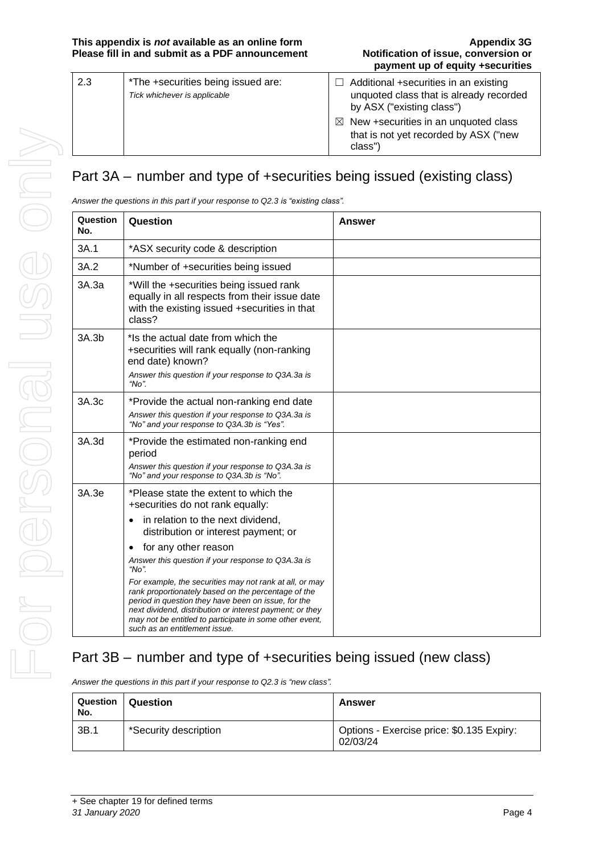| 2.3 | *The +securities being issued are:<br>Tick whichever is applicable | $\Box$ Additional +securities in an existing<br>unquoted class that is already recorded<br>by ASX ("existing class") |
|-----|--------------------------------------------------------------------|----------------------------------------------------------------------------------------------------------------------|
|     |                                                                    | $\boxtimes$ New +securities in an unquoted class<br>that is not yet recorded by ASX ("new<br>class")                 |

## Part 3A – number and type of +securities being issued (existing class)

*Answer the questions in this part if your response to Q2.3 is "existing class".*

| Question<br>No. | Question                                                                                                                                                                                                                                                                                                                                                                                                                              | <b>Answer</b> |
|-----------------|---------------------------------------------------------------------------------------------------------------------------------------------------------------------------------------------------------------------------------------------------------------------------------------------------------------------------------------------------------------------------------------------------------------------------------------|---------------|
| 3A.1            | *ASX security code & description                                                                                                                                                                                                                                                                                                                                                                                                      |               |
| 3A.2            | *Number of +securities being issued                                                                                                                                                                                                                                                                                                                                                                                                   |               |
| 3A.3a           | *Will the +securities being issued rank<br>equally in all respects from their issue date<br>with the existing issued +securities in that<br>class?                                                                                                                                                                                                                                                                                    |               |
| 3A.3b           | *Is the actual date from which the<br>+securities will rank equally (non-ranking<br>end date) known?<br>Answer this question if your response to Q3A.3a is<br>" $No$ ".                                                                                                                                                                                                                                                               |               |
| 3A.3c           | *Provide the actual non-ranking end date<br>Answer this question if your response to Q3A.3a is<br>"No" and your response to Q3A.3b is "Yes".                                                                                                                                                                                                                                                                                          |               |
| 3A.3d           | *Provide the estimated non-ranking end<br>period<br>Answer this question if your response to Q3A.3a is<br>"No" and your response to Q3A.3b is "No".                                                                                                                                                                                                                                                                                   |               |
| 3A.3e           | *Please state the extent to which the<br>+securities do not rank equally:<br>in relation to the next dividend,<br>$\bullet$<br>distribution or interest payment; or                                                                                                                                                                                                                                                                   |               |
|                 | for any other reason<br>$\bullet$<br>Answer this question if your response to Q3A.3a is<br>" $No$ ".<br>For example, the securities may not rank at all, or may<br>rank proportionately based on the percentage of the<br>period in question they have been on issue, for the<br>next dividend, distribution or interest payment; or they<br>may not be entitled to participate in some other event,<br>such as an entitlement issue. |               |

### Part 3B – number and type of +securities being issued (new class)

*Answer the questions in this part if your response to Q2.3 is "new class".*

| Question<br>No. | Question              | Answer                                                |
|-----------------|-----------------------|-------------------------------------------------------|
| 3B.1            | *Security description | Options - Exercise price: \$0.135 Expiry:<br>02/03/24 |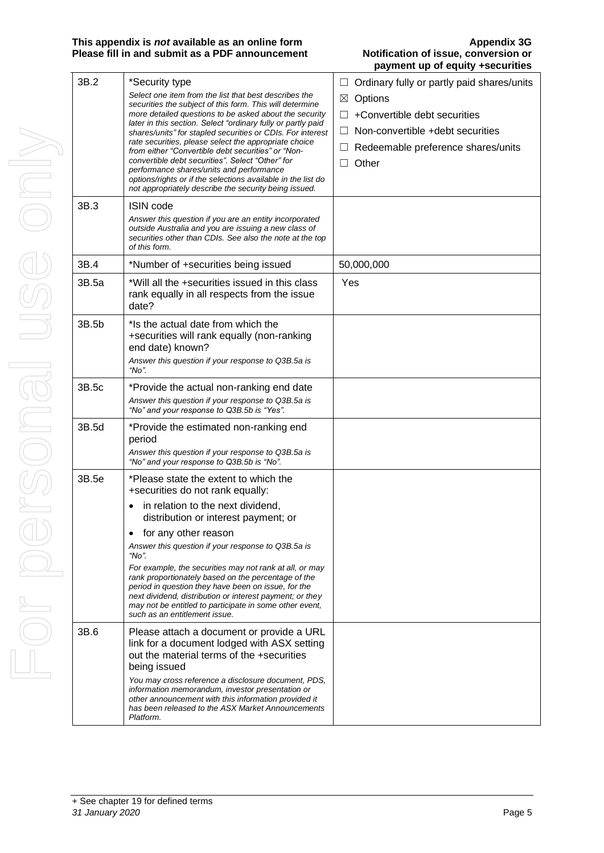### **This appendix is** *not* **available as an online form<br>
<b>Please fill in and submit as a PDF announcement Alternative Motification of issue, conversion or Please fill in and submit as a PDF announcement**

# **payment up of equity +securities**

|     | 3B.2  | *Security type                                                                                                                                                              | Ordinary fully or partly paid shares/units |
|-----|-------|-----------------------------------------------------------------------------------------------------------------------------------------------------------------------------|--------------------------------------------|
|     |       | Select one item from the list that best describes the<br>securities the subject of this form. This will determine<br>more detailed questions to be asked about the security | Options<br>⊠                               |
|     |       |                                                                                                                                                                             | +Convertible debt securities               |
|     |       | later in this section. Select "ordinary fully or partly paid<br>shares/units" for stapled securities or CDIs. For interest                                                  | Non-convertible +debt securities           |
|     |       | rate securities, please select the appropriate choice                                                                                                                       | Redeemable preference shares/units         |
| NIC |       | from either "Convertible debt securities" or "Non-<br>convertible debt securities". Select "Other" for                                                                      | Other<br>$\Box$                            |
|     |       | performance shares/units and performance<br>options/rights or if the selections available in the list do                                                                    |                                            |
|     |       | not appropriately describe the security being issued.                                                                                                                       |                                            |
|     | 3B.3  | <b>ISIN code</b>                                                                                                                                                            |                                            |
|     |       | Answer this question if you are an entity incorporated<br>outside Australia and you are issuing a new class of                                                              |                                            |
|     |       | securities other than CDIs. See also the note at the top                                                                                                                    |                                            |
|     |       | of this form.                                                                                                                                                               |                                            |
|     | 3B.4  | *Number of +securities being issued                                                                                                                                         | 50,000,000                                 |
|     | 3B.5a | *Will all the +securities issued in this class                                                                                                                              | Yes                                        |
|     |       | rank equally in all respects from the issue<br>date?                                                                                                                        |                                            |
|     | 3B.5b | *Is the actual date from which the                                                                                                                                          |                                            |
|     |       | +securities will rank equally (non-ranking                                                                                                                                  |                                            |
|     |       | end date) known?                                                                                                                                                            |                                            |
|     |       | Answer this question if your response to Q3B.5a is<br>"No".                                                                                                                 |                                            |
|     | 3B.5c | *Provide the actual non-ranking end date                                                                                                                                    |                                            |
|     |       | Answer this question if your response to Q3B.5a is<br>"No" and your response to Q3B.5b is "Yes".                                                                            |                                            |
|     | 3B.5d | *Provide the estimated non-ranking end<br>period                                                                                                                            |                                            |
|     |       | Answer this question if your response to Q3B.5a is<br>"No" and your response to Q3B.5b is "No".                                                                             |                                            |
|     | 3B.5e | *Please state the extent to which the<br>+securities do not rank equally:                                                                                                   |                                            |
|     |       | in relation to the next dividend,<br>٠<br>distribution or interest payment; or                                                                                              |                                            |
|     |       | for any other reason<br>٠                                                                                                                                                   |                                            |
|     |       | Answer this question if your response to Q3B.5a is<br>"No".                                                                                                                 |                                            |
|     |       | For example, the securities may not rank at all, or may                                                                                                                     |                                            |
|     |       | rank proportionately based on the percentage of the<br>period in question they have been on issue, for the                                                                  |                                            |
|     |       | next dividend, distribution or interest payment; or they                                                                                                                    |                                            |
|     |       | may not be entitled to participate in some other event,<br>such as an entitlement issue.                                                                                    |                                            |
|     | 3B.6  | Please attach a document or provide a URL                                                                                                                                   |                                            |
|     |       | link for a document lodged with ASX setting                                                                                                                                 |                                            |
|     |       | out the material terms of the +securities<br>being issued                                                                                                                   |                                            |
|     |       | You may cross reference a disclosure document, PDS,                                                                                                                         |                                            |
|     |       | information memorandum, investor presentation or<br>other announcement with this information provided it                                                                    |                                            |
|     |       | has been released to the ASX Market Announcements<br>Platform.                                                                                                              |                                            |
|     |       |                                                                                                                                                                             |                                            |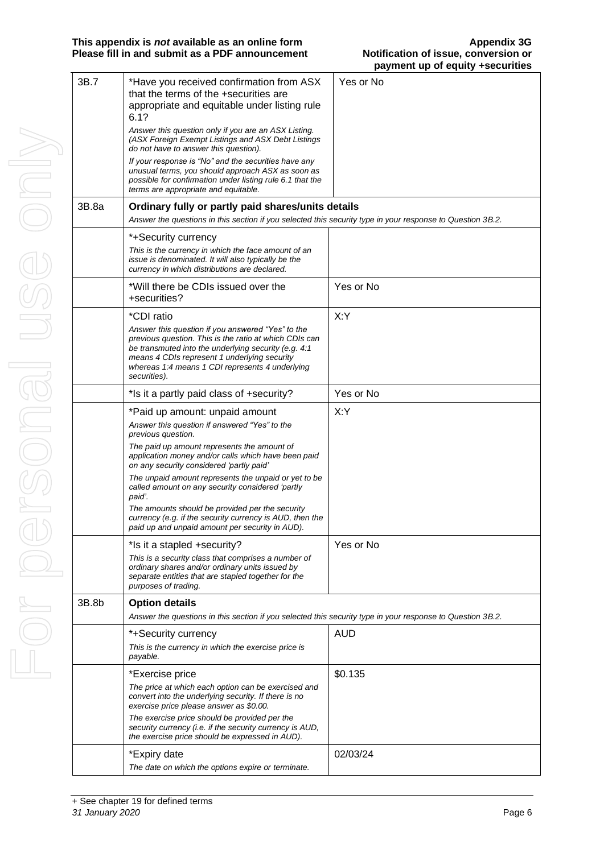| 3B.7  | *Have you received confirmation from ASX<br>that the terms of the +securities are<br>appropriate and equitable under listing rule<br>6.1?<br>Answer this question only if you are an ASX Listing.<br>(ASX Foreign Exempt Listings and ASX Debt Listings<br>do not have to answer this question).<br>If your response is "No" and the securities have any<br>unusual terms, you should approach ASX as soon as<br>possible for confirmation under listing rule 6.1 that the<br>terms are appropriate and equitable. | Yes or No  |
|-------|--------------------------------------------------------------------------------------------------------------------------------------------------------------------------------------------------------------------------------------------------------------------------------------------------------------------------------------------------------------------------------------------------------------------------------------------------------------------------------------------------------------------|------------|
| 3B.8a | Ordinary fully or partly paid shares/units details<br>Answer the questions in this section if you selected this security type in your response to Question 3B.2.                                                                                                                                                                                                                                                                                                                                                   |            |
|       | *+Security currency<br>This is the currency in which the face amount of an<br>issue is denominated. It will also typically be the<br>currency in which distributions are declared.                                                                                                                                                                                                                                                                                                                                 |            |
|       | *Will there be CDIs issued over the<br>+securities?                                                                                                                                                                                                                                                                                                                                                                                                                                                                | Yes or No  |
|       | *CDI ratio<br>Answer this question if you answered "Yes" to the<br>previous question. This is the ratio at which CDIs can<br>be transmuted into the underlying security (e.g. 4:1<br>means 4 CDIs represent 1 underlying security<br>whereas 1:4 means 1 CDI represents 4 underlying<br>securities).                                                                                                                                                                                                               | X:Y        |
|       | *Is it a partly paid class of +security?                                                                                                                                                                                                                                                                                                                                                                                                                                                                           | Yes or No  |
|       | *Paid up amount: unpaid amount<br>Answer this question if answered "Yes" to the<br>previous question.                                                                                                                                                                                                                                                                                                                                                                                                              | X:Y        |
|       | The paid up amount represents the amount of<br>application money and/or calls which have been paid<br>on any security considered 'partly paid'                                                                                                                                                                                                                                                                                                                                                                     |            |
|       | The unpaid amount represents the unpaid or yet to be<br>called amount on any security considered 'partly<br>paid'.<br>The amounts should be provided per the security<br>currency (e.g. if the security currency is AUD, then the<br>paid up and unpaid amount per security in AUD).                                                                                                                                                                                                                               |            |
|       | *Is it a stapled +security?                                                                                                                                                                                                                                                                                                                                                                                                                                                                                        | Yes or No  |
|       | This is a security class that comprises a number of<br>ordinary shares and/or ordinary units issued by<br>separate entities that are stapled together for the<br>purposes of trading.                                                                                                                                                                                                                                                                                                                              |            |
| 3B.8b | <b>Option details</b><br>Answer the questions in this section if you selected this security type in your response to Question 3B.2.                                                                                                                                                                                                                                                                                                                                                                                |            |
|       |                                                                                                                                                                                                                                                                                                                                                                                                                                                                                                                    |            |
|       | *+Security currency<br>This is the currency in which the exercise price is<br>payable.                                                                                                                                                                                                                                                                                                                                                                                                                             | <b>AUD</b> |
|       | *Exercise price<br>The price at which each option can be exercised and<br>convert into the underlying security. If there is no<br>exercise price please answer as \$0.00.<br>The exercise price should be provided per the<br>security currency (i.e. if the security currency is AUD,<br>the exercise price should be expressed in AUD).                                                                                                                                                                          | \$0.135    |
|       | *Expiry date<br>The date on which the options expire or terminate.                                                                                                                                                                                                                                                                                                                                                                                                                                                 | 02/03/24   |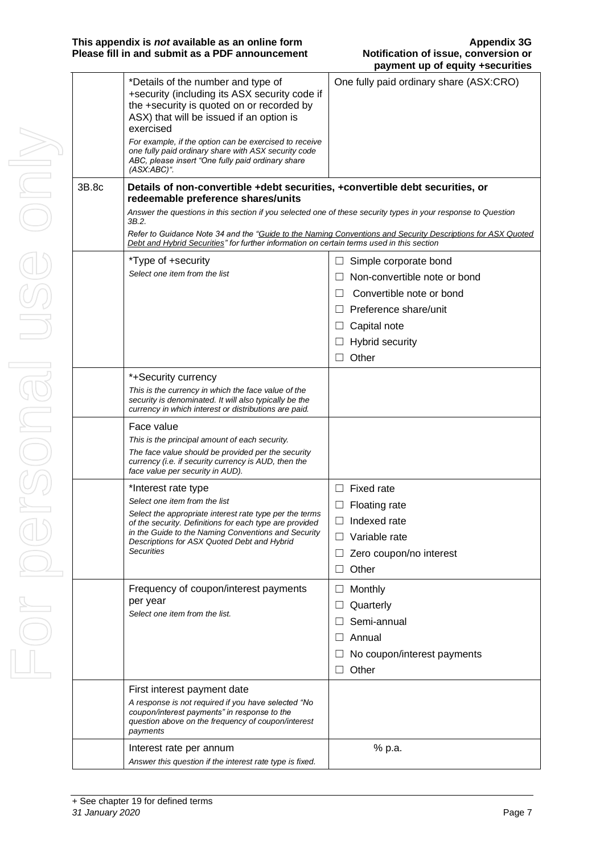|       |                                                                                                                                                                                                                                                                                                                                                                                     | payment up or equity +securities                                                                            |
|-------|-------------------------------------------------------------------------------------------------------------------------------------------------------------------------------------------------------------------------------------------------------------------------------------------------------------------------------------------------------------------------------------|-------------------------------------------------------------------------------------------------------------|
|       | *Details of the number and type of<br>+security (including its ASX security code if<br>the +security is quoted on or recorded by<br>ASX) that will be issued if an option is<br>exercised<br>For example, if the option can be exercised to receive<br>one fully paid ordinary share with ASX security code<br>ABC, please insert "One fully paid ordinary share<br>$(ASX:ABC)^*$ . | One fully paid ordinary share (ASX:CRO)                                                                     |
| 3B.8c | Details of non-convertible +debt securities, +convertible debt securities, or<br>redeemable preference shares/units                                                                                                                                                                                                                                                                 |                                                                                                             |
|       | Answer the questions in this section if you selected one of these security types in your response to Question<br>3B.2.                                                                                                                                                                                                                                                              |                                                                                                             |
|       | Debt and Hybrid Securities" for further information on certain terms used in this section                                                                                                                                                                                                                                                                                           | Refer to Guidance Note 34 and the "Guide to the Naming Conventions and Security Descriptions for ASX Quoted |
|       | *Type of +security                                                                                                                                                                                                                                                                                                                                                                  | Simple corporate bond<br>ш                                                                                  |
|       | Select one item from the list                                                                                                                                                                                                                                                                                                                                                       | Non-convertible note or bond                                                                                |
|       |                                                                                                                                                                                                                                                                                                                                                                                     | Convertible note or bond                                                                                    |
|       |                                                                                                                                                                                                                                                                                                                                                                                     | Preference share/unit                                                                                       |
|       |                                                                                                                                                                                                                                                                                                                                                                                     | Capital note<br>ப                                                                                           |
|       |                                                                                                                                                                                                                                                                                                                                                                                     | Hybrid security                                                                                             |
|       |                                                                                                                                                                                                                                                                                                                                                                                     | Other<br>$\perp$                                                                                            |
|       | *+Security currency<br>This is the currency in which the face value of the<br>security is denominated. It will also typically be the<br>currency in which interest or distributions are paid.                                                                                                                                                                                       |                                                                                                             |
|       | Face value<br>This is the principal amount of each security.<br>The face value should be provided per the security<br>currency (i.e. if security currency is AUD, then the<br>face value per security in AUD).                                                                                                                                                                      |                                                                                                             |
|       | *Interest rate type                                                                                                                                                                                                                                                                                                                                                                 | Fixed rate<br>$\perp$                                                                                       |
|       | Select one item from the list                                                                                                                                                                                                                                                                                                                                                       | <b>Floating rate</b>                                                                                        |
|       | Select the appropriate interest rate type per the terms<br>of the security. Definitions for each type are provided<br>in the Guide to the Naming Conventions and Security<br>Descriptions for ASX Quoted Debt and Hybrid<br><b>Securities</b>                                                                                                                                       | $\Box$ Indexed rate                                                                                         |
|       |                                                                                                                                                                                                                                                                                                                                                                                     | Variable rate<br>$\perp$                                                                                    |
|       |                                                                                                                                                                                                                                                                                                                                                                                     | Zero coupon/no interest                                                                                     |
|       |                                                                                                                                                                                                                                                                                                                                                                                     | Other                                                                                                       |
|       | Frequency of coupon/interest payments                                                                                                                                                                                                                                                                                                                                               | Monthly<br>$\Box$                                                                                           |
|       | per year                                                                                                                                                                                                                                                                                                                                                                            | Quarterly                                                                                                   |
|       | Select one item from the list.                                                                                                                                                                                                                                                                                                                                                      | Semi-annual                                                                                                 |
|       |                                                                                                                                                                                                                                                                                                                                                                                     | Annual                                                                                                      |
|       |                                                                                                                                                                                                                                                                                                                                                                                     | No coupon/interest payments                                                                                 |
|       |                                                                                                                                                                                                                                                                                                                                                                                     | Other<br>$\perp$                                                                                            |
|       | First interest payment date                                                                                                                                                                                                                                                                                                                                                         |                                                                                                             |
|       | A response is not required if you have selected "No<br>coupon/interest payments" in response to the<br>question above on the frequency of coupon/interest<br>payments                                                                                                                                                                                                               |                                                                                                             |
|       | Interest rate per annum                                                                                                                                                                                                                                                                                                                                                             | % p.a.                                                                                                      |
|       | Answer this question if the interest rate type is fixed.                                                                                                                                                                                                                                                                                                                            |                                                                                                             |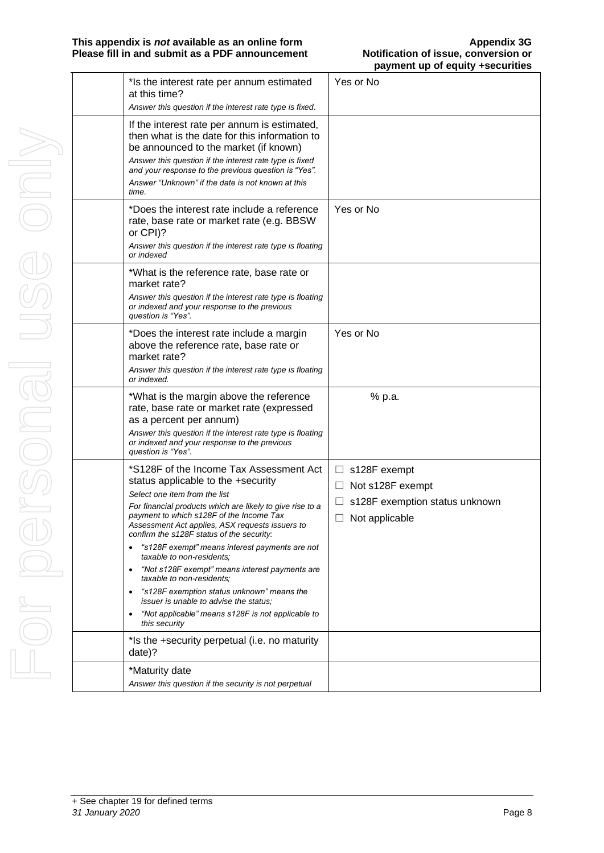| *Is the interest rate per annum estimated<br>at this time?                                                                                                                                                                                                                                                                                                                                                                                                                                                                                                                                                                                                                                                                         | Yes or No                                                                                                  |
|------------------------------------------------------------------------------------------------------------------------------------------------------------------------------------------------------------------------------------------------------------------------------------------------------------------------------------------------------------------------------------------------------------------------------------------------------------------------------------------------------------------------------------------------------------------------------------------------------------------------------------------------------------------------------------------------------------------------------------|------------------------------------------------------------------------------------------------------------|
| Answer this question if the interest rate type is fixed.                                                                                                                                                                                                                                                                                                                                                                                                                                                                                                                                                                                                                                                                           |                                                                                                            |
| If the interest rate per annum is estimated,<br>then what is the date for this information to<br>be announced to the market (if known)<br>Answer this question if the interest rate type is fixed<br>and your response to the previous question is "Yes".<br>Answer "Unknown" if the date is not known at this<br>time.                                                                                                                                                                                                                                                                                                                                                                                                            |                                                                                                            |
| *Does the interest rate include a reference<br>rate, base rate or market rate (e.g. BBSW<br>or CPI)?<br>Answer this question if the interest rate type is floating<br>or indexed                                                                                                                                                                                                                                                                                                                                                                                                                                                                                                                                                   | Yes or No                                                                                                  |
| *What is the reference rate, base rate or<br>market rate?<br>Answer this question if the interest rate type is floating<br>or indexed and your response to the previous<br>question is "Yes".                                                                                                                                                                                                                                                                                                                                                                                                                                                                                                                                      |                                                                                                            |
| *Does the interest rate include a margin<br>above the reference rate, base rate or<br>market rate?<br>Answer this question if the interest rate type is floating<br>or indexed.                                                                                                                                                                                                                                                                                                                                                                                                                                                                                                                                                    | Yes or No                                                                                                  |
| *What is the margin above the reference<br>rate, base rate or market rate (expressed<br>as a percent per annum)<br>Answer this question if the interest rate type is floating<br>or indexed and your response to the previous<br>question is "Yes".                                                                                                                                                                                                                                                                                                                                                                                                                                                                                | % p.a.                                                                                                     |
| *S128F of the Income Tax Assessment Act<br>status applicable to the +security<br>Select one item from the list<br>For financial products which are likely to give rise to a<br>payment to which s128F of the Income Tax<br>Assessment Act applies, ASX requests issuers to<br>confirm the s128F status of the security:<br>"s128F exempt" means interest payments are not<br>taxable to non-residents:<br>"Not s128F exempt" means interest payments are<br>taxable to non-residents:<br>"s128F exemption status unknown" means the<br><i>issuer is unable to advise the status:</i><br>"Not applicable" means s128F is not applicable to<br>$\bullet$<br>this security<br>*Is the +security perpetual (i.e. no maturity<br>date)? | $\Box$ s128F exempt<br>Not s128F exempt<br>⊔<br>s128F exemption status unknown<br>ப<br>Not applicable<br>⊔ |
| *Maturity date<br>Answer this question if the security is not perpetual                                                                                                                                                                                                                                                                                                                                                                                                                                                                                                                                                                                                                                                            |                                                                                                            |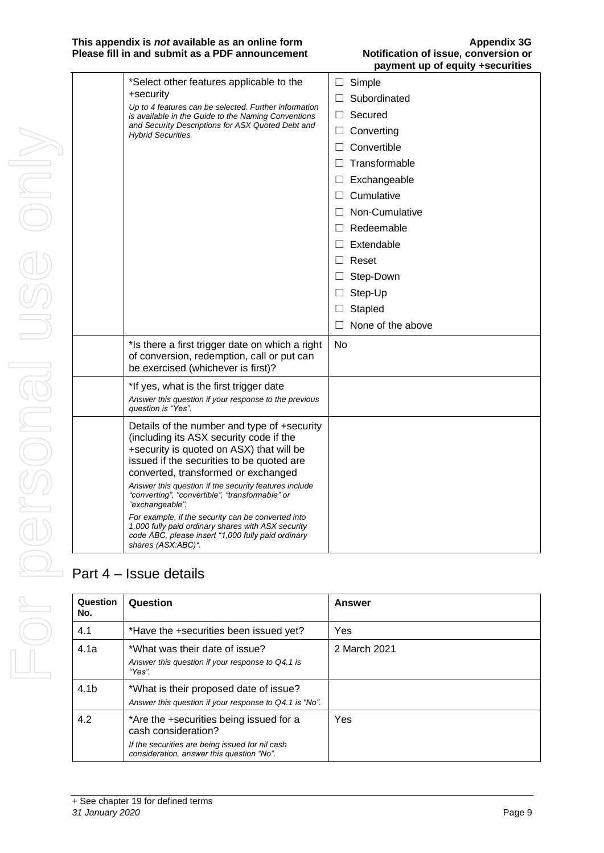### **This appendix is** *not* **available as an online form<br>
<b>Please fill in and submit as a PDF announcement Alternative Motification of issue, conversion or Please fill in and submit as a PDF announcement**

| *Select other features applicable to the<br>+security<br>Up to 4 features can be selected. Further information<br>is available in the Guide to the Naming Conventions<br>and Security Descriptions for ASX Quoted Debt and<br><b>Hybrid Securities.</b>                                                                                                                                                                                                                                                                                       | Simple<br>$\Box$<br>Subordinated<br>Secured<br>$\Box$<br>Converting<br>Convertible<br>$\perp$<br>Transformable<br>Exchangeable<br>$\Box$<br>Cumulative<br>Non-Cumulative<br>$\perp$<br>Redeemable<br>Extendable<br>Reset |
|-----------------------------------------------------------------------------------------------------------------------------------------------------------------------------------------------------------------------------------------------------------------------------------------------------------------------------------------------------------------------------------------------------------------------------------------------------------------------------------------------------------------------------------------------|--------------------------------------------------------------------------------------------------------------------------------------------------------------------------------------------------------------------------|
|                                                                                                                                                                                                                                                                                                                                                                                                                                                                                                                                               | Step-Down<br>Step-Up<br>$\Box$<br>Stapled<br>$\Box$<br>None of the above                                                                                                                                                 |
| *Is there a first trigger date on which a right<br>of conversion, redemption, call or put can<br>be exercised (whichever is first)?                                                                                                                                                                                                                                                                                                                                                                                                           | No                                                                                                                                                                                                                       |
| *If yes, what is the first trigger date<br>Answer this question if your response to the previous<br>question is "Yes".                                                                                                                                                                                                                                                                                                                                                                                                                        |                                                                                                                                                                                                                          |
| Details of the number and type of +security<br>(including its ASX security code if the<br>+security is quoted on ASX) that will be<br>issued if the securities to be quoted are<br>converted, transformed or exchanged<br>Answer this question if the security features include<br>"converting", "convertible", "transformable" or<br>"exchangeable".<br>For example, if the security can be converted into<br>1,000 fully paid ordinary shares with ASX security<br>code ABC, please insert "1,000 fully paid ordinary<br>shares (ASX:ABC)". |                                                                                                                                                                                                                          |

### Part 4 – Issue details

| Question<br>No.  | Question                                                                                                                                                       | <b>Answer</b> |
|------------------|----------------------------------------------------------------------------------------------------------------------------------------------------------------|---------------|
| 4.1              | *Have the +securities been issued yet?                                                                                                                         | Yes           |
| 4.1a             | *What was their date of issue?<br>Answer this question if your response to Q4.1 is<br>"Yes".                                                                   | 2 March 2021  |
| 4.1 <sub>b</sub> | *What is their proposed date of issue?<br>Answer this question if your response to Q4.1 is "No".                                                               |               |
| 4.2              | *Are the +securities being issued for a<br>cash consideration?<br>If the securities are being issued for nil cash<br>consideration, answer this question "No". | Yes           |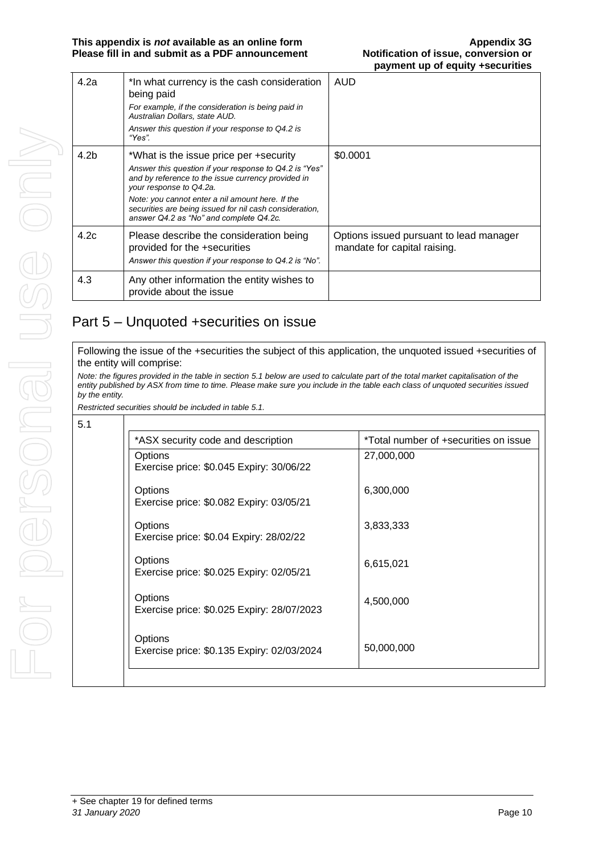| 4.2a | *In what currency is the cash consideration<br>being paid<br>For example, if the consideration is being paid in<br>Australian Dollars, state AUD.<br>Answer this question if your response to Q4.2 is<br>"Yes". | <b>AUD</b>                                                              |
|------|-----------------------------------------------------------------------------------------------------------------------------------------------------------------------------------------------------------------|-------------------------------------------------------------------------|
|      |                                                                                                                                                                                                                 |                                                                         |
| 4.2b | *What is the issue price per +security                                                                                                                                                                          | \$0.0001                                                                |
|      | Answer this question if your response to Q4.2 is "Yes"<br>and by reference to the issue currency provided in<br>your response to Q4.2a.                                                                         |                                                                         |
|      | Note: you cannot enter a nil amount here. If the<br>securities are being issued for nil cash consideration.<br>answer Q4.2 as "No" and complete Q4.2c.                                                          |                                                                         |
| 4.2c | Please describe the consideration being<br>provided for the +securities<br>Answer this question if your response to Q4.2 is "No".                                                                               | Options issued pursuant to lead manager<br>mandate for capital raising. |
| 4.3  | Any other information the entity wishes to<br>provide about the issue                                                                                                                                           |                                                                         |

### Part 5 – Unquoted +securities on issue

Following the issue of the +securities the subject of this application, the unquoted issued +securities of the entity will comprise:

*Note: the figures provided in the table in section 5.1 below are used to calculate part of the total market capitalisation of the entity published by ASX from time to time. Please make sure you include in the table each class of unquoted securities issued by the entity.*

*Restricted securities should be included in table 5.1.*

| *ASX security code and description                    | *Total number of +securities on issue |
|-------------------------------------------------------|---------------------------------------|
| Options<br>Exercise price: \$0.045 Expiry: 30/06/22   | 27,000,000                            |
| Options<br>Exercise price: \$0.082 Expiry: 03/05/21   | 6,300,000                             |
| Options<br>Exercise price: \$0.04 Expiry: 28/02/22    | 3,833,333                             |
| Options<br>Exercise price: \$0.025 Expiry: 02/05/21   | 6,615,021                             |
| Options<br>Exercise price: \$0.025 Expiry: 28/07/2023 | 4,500,000                             |
| Options<br>Exercise price: \$0.135 Expiry: 02/03/2024 | 50,000,000                            |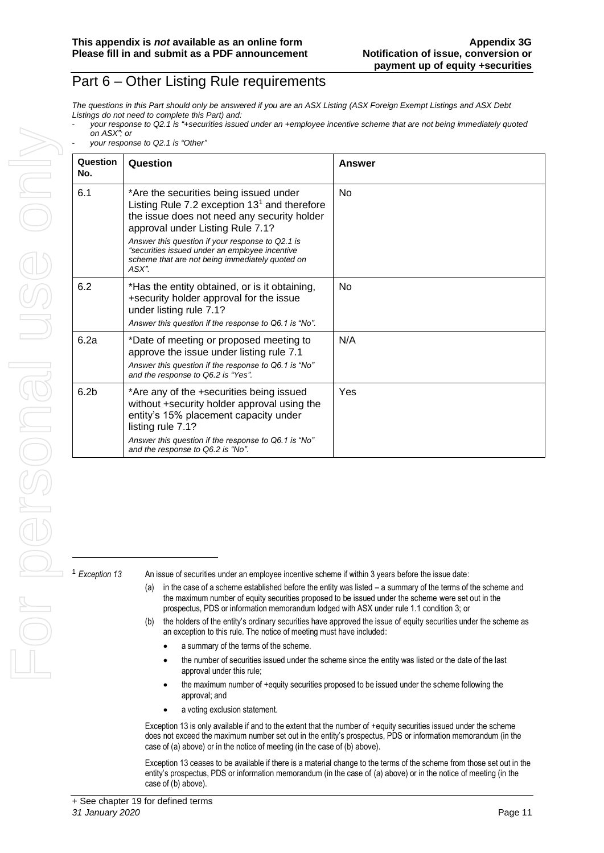### Part 6 – Other Listing Rule requirements

*The questions in this Part should only be answered if you are an ASX Listing (ASX Foreign Exempt Listings and ASX Debt Listings do not need to complete this Part) and:*

|             | your response to Q2.1 is "+securities issued under an +employee incentive scheme that are not being immediately quoted |  |
|-------------|------------------------------------------------------------------------------------------------------------------------|--|
| on ASX"; or |                                                                                                                        |  |

- *your response to Q2.1 is "Other"*

| Question<br>No.  | Question                                                                                                                                                                                                                                                                                                                                      | Answer         |
|------------------|-----------------------------------------------------------------------------------------------------------------------------------------------------------------------------------------------------------------------------------------------------------------------------------------------------------------------------------------------|----------------|
| 6.1              | *Are the securities being issued under<br>Listing Rule 7.2 exception $131$ and therefore<br>the issue does not need any security holder<br>approval under Listing Rule 7.1?<br>Answer this question if your response to Q2.1 is<br>"securities issued under an employee incentive<br>scheme that are not being immediately quoted on<br>ASX". | N <sub>0</sub> |
| 6.2              | *Has the entity obtained, or is it obtaining,<br>+security holder approval for the issue<br>under listing rule 7.1?<br>Answer this question if the response to Q6.1 is "No".                                                                                                                                                                  | <b>No</b>      |
| 6.2a             | *Date of meeting or proposed meeting to<br>approve the issue under listing rule 7.1<br>Answer this question if the response to Q6.1 is "No"<br>and the response to Q6.2 is "Yes".                                                                                                                                                             | N/A            |
| 6.2 <sub>b</sub> | *Are any of the +securities being issued<br>without +security holder approval using the<br>entity's 15% placement capacity under<br>listing rule 7.1?<br>Answer this question if the response to Q6.1 is "No"<br>and the response to Q6.2 is "No".                                                                                            | Yes            |

<sup>1</sup> *Exception 13* An issue of securities under an employee incentive scheme if within 3 years before the issue date:

- (a) in the case of a scheme established before the entity was listed a summary of the terms of the scheme and the maximum number of equity securities proposed to be issued under the scheme were set out in the prospectus, PDS or information memorandum lodged with ASX under rule 1.1 condition 3; or
- (b) the holders of the entity's ordinary securities have approved the issue of equity securities under the scheme as an exception to this rule. The notice of meeting must have included:
	- a summary of the terms of the scheme.
	- the number of securities issued under the scheme since the entity was listed or the date of the last approval under this rule;
	- the maximum number of +equity securities proposed to be issued under the scheme following the approval; and
	- a voting exclusion statement.

Exception 13 is only available if and to the extent that the number of +equity securities issued under the scheme does not exceed the maximum number set out in the entity's prospectus, PDS or information memorandum (in the case of (a) above) or in the notice of meeting (in the case of (b) above).

Exception 13 ceases to be available if there is a material change to the terms of the scheme from those set out in the entity's prospectus, PDS or information memorandum (in the case of (a) above) or in the notice of meeting (in the case of (b) above).